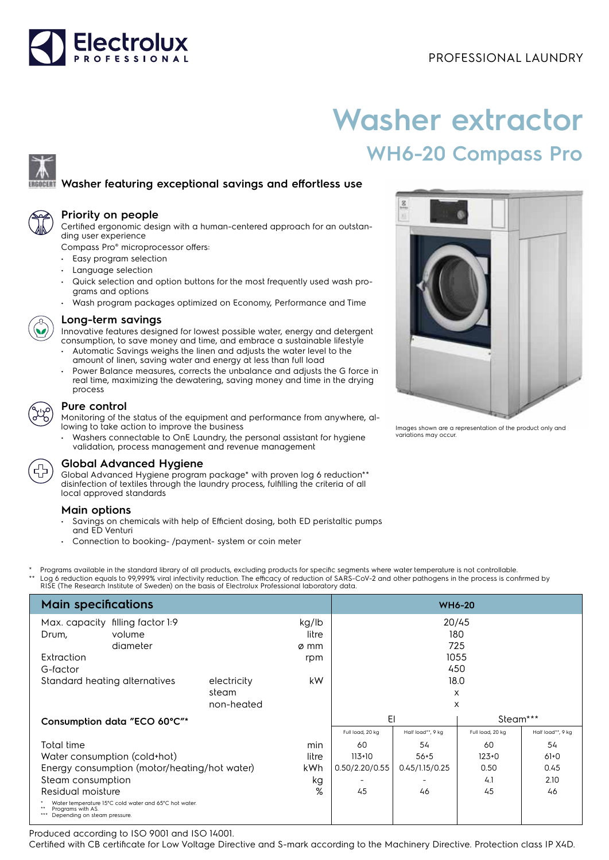# Electrolux

# **Washer extractor WH6-20 Compass Pro**

## **Washer featuring exceptional savings and effortless use**



#### **Priority on people**

Certified ergonomic design with a human-centered approach for an outstanding user experience

Compass Pro® microprocessor offers:

- Easy program selection
- Language selection
- Quick selection and option buttons for the most frequently used wash programs and options
- Wash program packages optimized on Economy, Performance and Time



#### **Long-term savings**

Innovative features designed for lowest possible water, energy and detergent consumption, to save money and time, and embrace a sustainable lifestyle

- Automatic Savings weighs the linen and adjusts the water level to the amount of linen, saving water and energy at less than full load
- Power Balance measures, corrects the unbalance and adjusts the G force in real time, maximizing the dewatering, saving money and time in the drying process

### **Pure control**

Monitoring of the status of the equipment and performance from anywhere, allowing to take action to improve the business

• Washers connectable to OnE Laundry, the personal assistant for hygiene validation, process management and revenue management

#### **Global Advanced Hygiene**

Global Advanced Hygiene program package\* with proven log 6 reduction\*\* disinfection of textiles through the laundry process, fulfilling the criteria of all local approved standards

#### **Main options**

- Savings on chemicals with help of Efficient dosing, both ED peristaltic pumps and ED Venturi
- Connection to booking- /payment- system or coin meter
- Programs available in the standard library of all products, excluding products for specific segments where water temperature is not controllable.
- \*\* Log 6 reduction equals to 99,999% viral infectivity reduction. The efficacy of reduction of SARS-CoV-2 and other pathogens in the process is confirmed by<br>RISE (The Research Institute of Sweden) on the basis of Electrolu

| <b>Main specifications</b>                                                                                                           | <b>WH6-20</b>                      |                        |                     |                       |                  |                   |
|--------------------------------------------------------------------------------------------------------------------------------------|------------------------------------|------------------------|---------------------|-----------------------|------------------|-------------------|
| Max. capacity filling factor 1:9<br>volume<br>Drum,<br>diameter                                                                      |                                    | kg/lb<br>litre<br>ø mm | 20/45<br>180<br>725 |                       |                  |                   |
| Extraction                                                                                                                           |                                    | rpm                    |                     |                       | 1055             |                   |
| G-factor<br>Standard heating alternatives                                                                                            | electricity<br>steam<br>non-heated | kW                     |                     | 450<br>18.0<br>X<br>X |                  |                   |
| Consumption data "ECO 60°C"*                                                                                                         |                                    |                        | EI                  |                       | Steam***         |                   |
|                                                                                                                                      |                                    |                        | Full load, 20 kg    | Half load**, 9 kg     | Full load, 20 kg | Half load**, 9 kg |
| <b>Total time</b>                                                                                                                    |                                    | min                    | 60                  | 54                    | 60               | 54                |
| Water consumption (cold+hot)<br>litre                                                                                                |                                    |                        | $113+10$            | $56 + 5$              | $123+0$          | $61+0$            |
| Energy consumption (motor/heating/hot water)<br>kWh                                                                                  |                                    |                        | 0.50/2.20/0.55      | 0.45/1.15/0.25        | 0.50             | 0.45              |
| Steam consumption<br>kg                                                                                                              |                                    |                        |                     |                       | 4.1              | 2.10              |
| %<br>Residual moisture<br>Water temperature 15°C cold water and 65°C hot water.<br>Programs with AS.<br>Depending on steam pressure. |                                    |                        | 45                  | 46                    | 45               | 46                |

Produced according to ISO 9001 and ISO 14001.

Certified with CB certificate for Low Voltage Directive and S-mark according to the Machinery Directive. Protection class IP X4D.



Images shown are a representation of the product only and variations may occur.